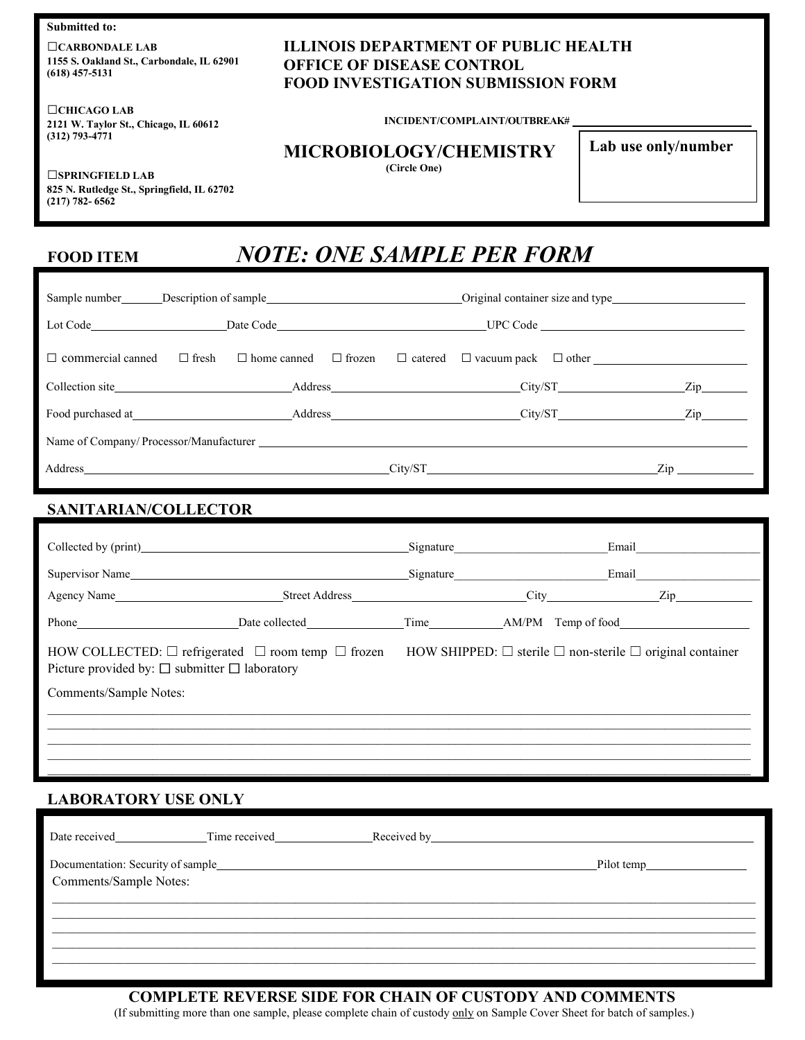**Submitted to:**

□**CARBONDALE LAB 1155 S. Oakland St., Carbondale, IL 62901 (618) 457-5131**

□**CHICAGO LAB 2121 W. Taylor St., Chicago, IL 60612 (312) 793-4771**

### **ILLINOIS DEPARTMENT OF PUBLIC HEALTH OFFICE OF DISEASE CONTROL FOOD INVESTIGATION SUBMISSION FORM**

**INCIDENT/COMPLAINT/OUTBREAK#** 

#### **MICROBIOLOGY/CHEMISTRY**

**(Circle One)**

**Lab use only/number**

□**SPRINGFIELD LAB 825 N. Rutledge St., Springfield, IL 62702 (217) 782- 6562**

# **FOOD ITEM** *NOTE: ONE SAMPLE PER FORM*

|                          |              | Sample number Description of sample Original container size and type            |                                                                                                                                                                                                                                |  |
|--------------------------|--------------|---------------------------------------------------------------------------------|--------------------------------------------------------------------------------------------------------------------------------------------------------------------------------------------------------------------------------|--|
|                          |              |                                                                                 |                                                                                                                                                                                                                                |  |
| $\Box$ commercial canned | $\Box$ fresh | $\Box$ home canned $\Box$ frozen $\Box$ catered $\Box$ vacuum pack $\Box$ other |                                                                                                                                                                                                                                |  |
|                          |              |                                                                                 | $\mathbf{Zip}$                                                                                                                                                                                                                 |  |
|                          |              |                                                                                 | $\mathbf{Zip}$                                                                                                                                                                                                                 |  |
|                          |              |                                                                                 |                                                                                                                                                                                                                                |  |
|                          |              | Address City/ST                                                                 | Zip and the same state of the state of the state of the state of the state of the state of the state of the state of the state of the state of the state of the state of the state of the state of the state of the state of t |  |

### **SANITARIAN/COLLECTOR**

|                                                                                                                                                                                                             |                                         | Signature | Email |
|-------------------------------------------------------------------------------------------------------------------------------------------------------------------------------------------------------------|-----------------------------------------|-----------|-------|
|                                                                                                                                                                                                             | Supervisor Name                         | Signature | Email |
|                                                                                                                                                                                                             | Agency Name Street Address City City    |           | Zip   |
| Phone Phone                                                                                                                                                                                                 | Date collected<br><u>Date</u> collected |           |       |
| HOW COLLECTED: $\Box$ refrigerated $\Box$ room temp $\Box$ frozen HOW SHIPPED: $\Box$ sterile $\Box$ non-sterile $\Box$ original container<br>Picture provided by: $\square$ submitter $\square$ laboratory |                                         |           |       |
| Comments/Sample Notes:                                                                                                                                                                                      |                                         |           |       |
|                                                                                                                                                                                                             |                                         |           |       |
|                                                                                                                                                                                                             |                                         |           |       |
|                                                                                                                                                                                                             |                                         |           |       |

## **LABORATORY USE ONLY**

| Date received          | Time received | Received by Received by Received by Received by Received by Received and Received and Received and Received and Received and Received and Received and Received and Received and Received and Received and Received and Receiv |  |
|------------------------|---------------|--------------------------------------------------------------------------------------------------------------------------------------------------------------------------------------------------------------------------------|--|
|                        |               |                                                                                                                                                                                                                                |  |
| Comments/Sample Notes: |               |                                                                                                                                                                                                                                |  |
|                        |               |                                                                                                                                                                                                                                |  |
|                        |               |                                                                                                                                                                                                                                |  |
|                        |               |                                                                                                                                                                                                                                |  |
|                        |               |                                                                                                                                                                                                                                |  |

#### **COMPLETE REVERSE SIDE FOR CHAIN OF CUSTODY AND COMMENTS**

(If submitting more than one sample, please complete chain of custody only on Sample Cover Sheet for batch of samples.)